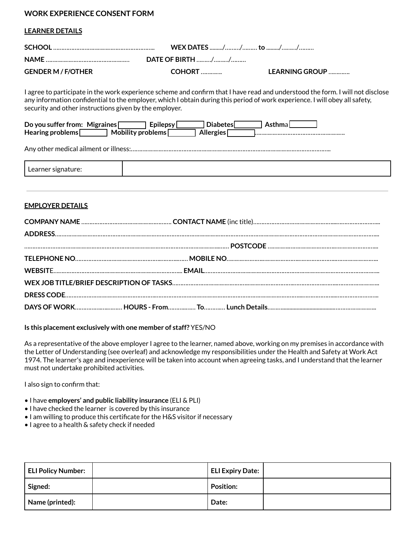# **WORK EXPERIENCE CONSENT FORM**

### **LEARNER DETAILS**

|                           | WEX DATES // to //      |                |
|---------------------------|-------------------------|----------------|
| NAME.                     | <b>DATE OF BIRTH //</b> |                |
| <b>GENDER M / F/OTHER</b> | <b>COHORT </b>          | LEARNING GROUP |

I agree to participate in the work experience scheme and confirm that I have read and understood the form. I will not disclose any information confidential to the employer, which I obtain during this period of work experience. I will obey all safety, security and other instructions given by the employer.

| Do you suffer from: Migraines |                   | <b>Epilepsy</b> | <b>Diabetes</b> | Asthmal |
|-------------------------------|-------------------|-----------------|-----------------|---------|
| Hearing problems $\lceil$     | Mobility problems |                 | Allergies       |         |

Any other medical ailment or illness:…………………………………………………………………………………………………………..

| Leanner<br>-<br>- 214<br>.<br>. . |  |
|-----------------------------------|--|
|-----------------------------------|--|

### **EMPLOYER DETAILS**

#### **Is this placement exclusively with one member of staff?** YES/NO

As a representative of the above employer I agree to the learner, named above, working on my premises in accordance with the Letter of Understanding (see overleaf) and acknowledge my responsibilities under the Health and Safety at Work Act 1974. The learner's age and inexperience will be taken into account when agreeing tasks, and I understand that the learner must not undertake prohibited activities.

I also sign to confirm that:

- I have **employers' and public liability insurance** (ELI & PLI)
- I have checked the learner is covered by this insurance
- I am willing to produce this certificate for the H&S visitor if necessary
- I agree to a health & safety check if needed

| <b>ELI Policy Number:</b> | ELI Expiry Date: |  |
|---------------------------|------------------|--|
| Signed:                   | <b>Position:</b> |  |
| Name (printed):           | Date:            |  |